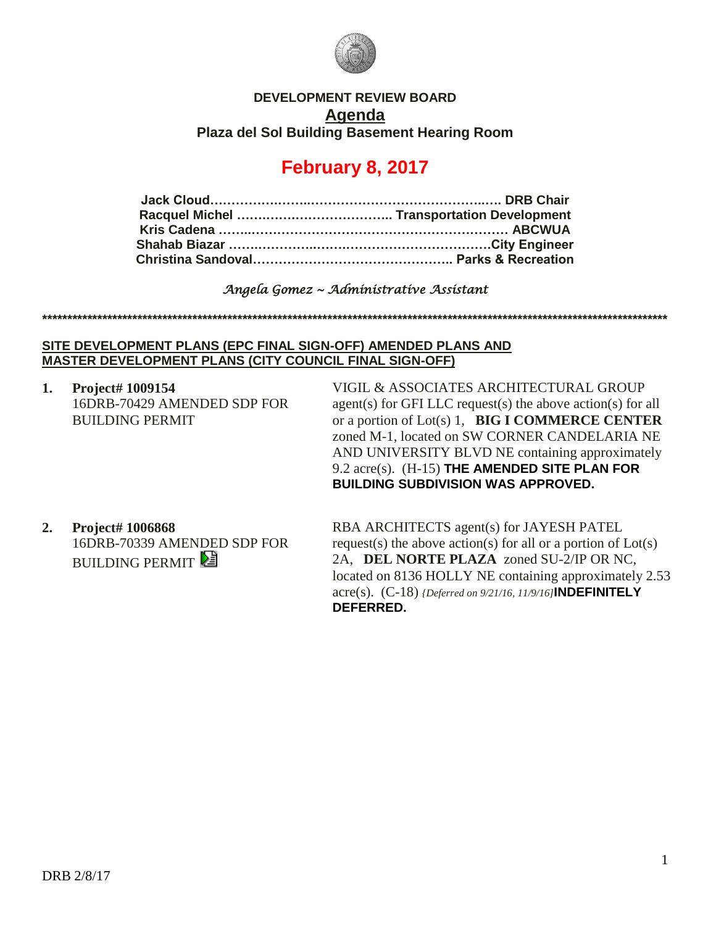

## **DEVELOPMENT REVIEW BOARD Agenda Plaza del Sol Building Basement Hearing Room**

## **February 8, 2017**

*Angela Gomez ~ Administrative Assistant* 

**\*\*\*\*\*\*\*\*\*\*\*\*\*\*\*\*\*\*\*\*\*\*\*\*\*\*\*\*\*\*\*\*\*\*\*\*\*\*\*\*\*\*\*\*\*\*\*\*\*\*\*\*\*\*\*\*\*\*\*\*\*\*\*\*\*\*\*\*\*\*\*\*\*\*\*\*\*\*\*\*\*\*\*\*\*\*\*\*\*\*\*\*\*\*\*\*\*\*\*\*\*\*\*\*\*\*\*\*\*\*\*\*\*\*\*\*\*\*\*\*\*\*\*\*\***

**SITE DEVELOPMENT PLANS (EPC FINAL SIGN-OFF) AMENDED PLANS AND MASTER DEVELOPMENT PLANS (CITY COUNCIL FINAL SIGN-OFF)**

**1. Project# 1009154** 16DRB-70429 AMENDED SDP FOR BUILDING PERMIT

VIGIL & ASSOCIATES ARCHITECTURAL GROUP agent(s) for GFI LLC request(s) the above action(s) for all or a portion of Lot(s) 1, **BIG I COMMERCE CENTER** zoned M-1, located on SW CORNER CANDELARIA NE AND UNIVERSITY BLVD NE containing approximately 9.2 acre(s). (H-15) **THE AMENDED SITE PLAN FOR BUILDING SUBDIVISION WAS APPROVED.**

**2. Project# 1006868** 16DRB-70339 AMENDED SDP FOR **BUILDING PERMIT** 

RBA ARCHITECTS agent(s) for JAYESH PATEL request(s) the above action(s) for all or a portion of  $Lot(s)$ 2A, **DEL NORTE PLAZA** zoned SU-2/IP OR NC, located on 8136 HOLLY NE containing approximately 2.53 acre(s). (C-18) *{Deferred on 9/21/16, 11/9/16]***INDEFINITELY DEFERRED.**